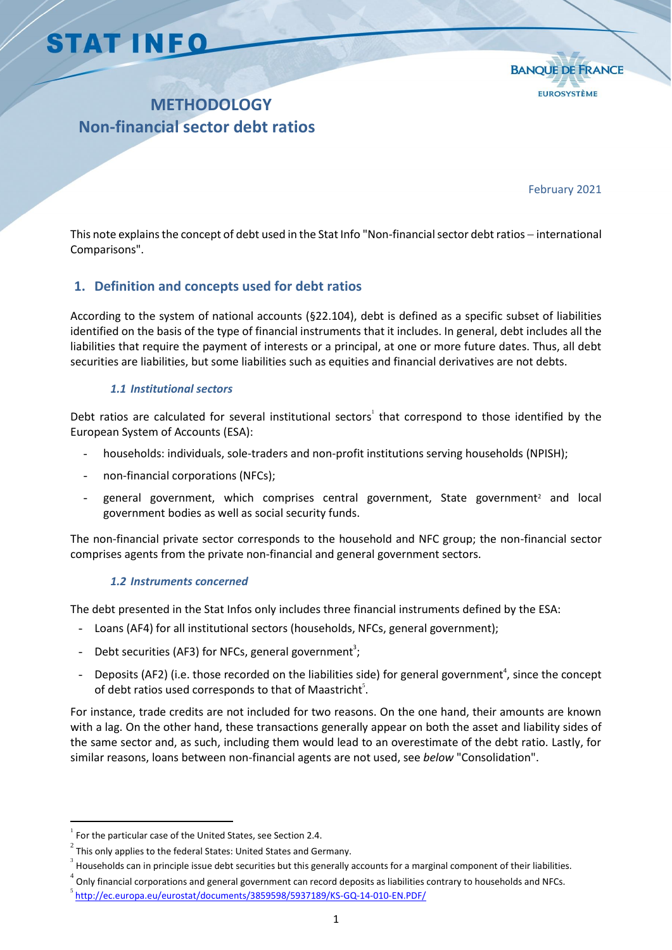# **STAT INFO**



## **METHODOLOGY Non-financial sector debt ratios**

February 2021

This note explains the concept of debt used in the Stat Info "Non-financial sector debt ratios - international Comparisons".

## **1. Definition and concepts used for debt ratios**

According to the system of national accounts (§22.104), debt is defined as a specific subset of liabilities identified on the basis of the type of financial instruments that it includes. In general, debt includes all the liabilities that require the payment of interests or a principal, at one or more future dates. Thus, all debt securities are liabilities, but some liabilities such as equities and financial derivatives are not debts.

#### *1.1 Institutional sectors*

Debt ratios are calculated for several institutional sectors<sup>1</sup> that correspond to those identified by the European System of Accounts (ESA):

- *-* households: individuals, sole-traders and non-profit institutions serving households (NPISH);
- *-* non-financial corporations (NFCs);
- general government, which comprises central government, State government<sup>2</sup> and local government bodies as well as social security funds.

The non-financial private sector corresponds to the household and NFC group; the non-financial sector comprises agents from the private non-financial and general government sectors.

#### *1.2 Instruments concerned*

The debt presented in the Stat Infos only includes three financial instruments defined by the ESA:

- *-* Loans (AF4) for all institutional sectors (households, NFCs, general government);
- Debt securities (AF3) for NFCs, general government<sup>3</sup>;
- Deposits (AF2) (i.e. those recorded on the liabilities side) for general government<sup>4</sup>, since the concept of debt ratios used corresponds to that of Maastricht $\mathfrak{f}.$

For instance, trade credits are not included for two reasons. On the one hand, their amounts are known with a lag. On the other hand, these transactions generally appear on both the asset and liability sides of the same sector and, as such, including them would lead to an overestimate of the debt ratio. Lastly, for similar reasons, loans between non-financial agents are not used, see *below* "Consolidation".

 $\overline{a}$ 

4 Only financial corporations and general government can record deposits as liabilities contrary to households and NFCs.

<sup>1</sup> For the particular case of the United States, see Section 2.4.

<sup>&</sup>lt;sup>2</sup> This only applies to the federal States: United States and Germany.

Households can in principle issue debt securities but this generally accounts for a marginal component of their liabilities.

<sup>&</sup>lt;sup>5</sup> <http://ec.europa.eu/eurostat/documents/3859598/5937189/KS-GQ-14-010-EN.PDF/>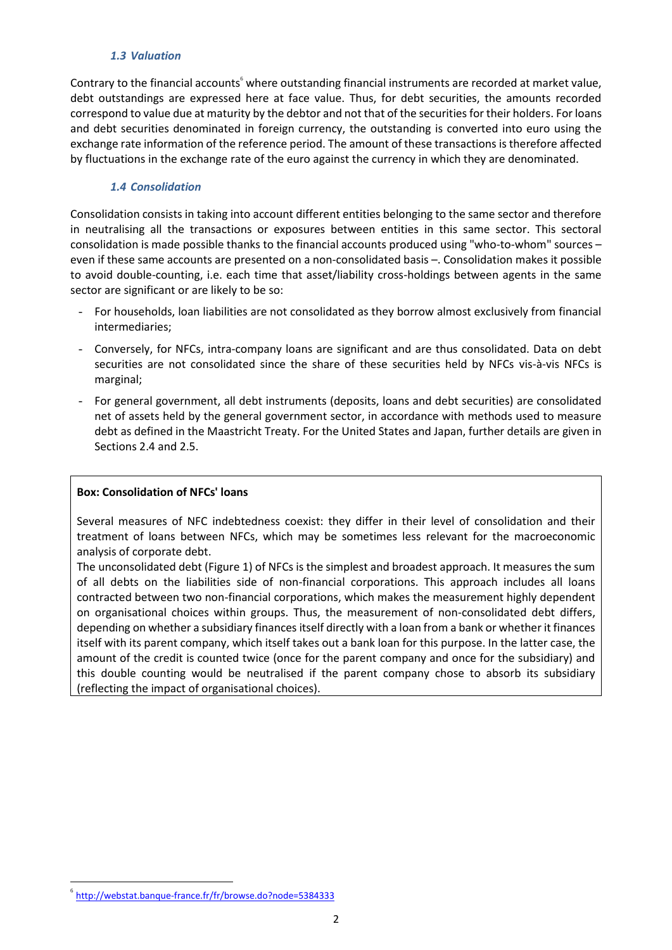#### *1.3 Valuation*

Contrary to the financial accounts $^{\circ}$  where outstanding financial instruments are recorded at market value, debt outstandings are expressed here at face value. Thus, for debt securities, the amounts recorded correspond to value due at maturity by the debtor and not that of the securities for their holders. For loans and debt securities denominated in foreign currency, the outstanding is converted into euro using the exchange rate information of the reference period. The amount of these transactions is therefore affected by fluctuations in the exchange rate of the euro against the currency in which they are denominated.

#### *1.4 Consolidation*

Consolidation consists in taking into account different entities belonging to the same sector and therefore in neutralising all the transactions or exposures between entities in this same sector. This sectoral consolidation is made possible thanks to the financial accounts produced using "who-to-whom" sources – even if these same accounts are presented on a non-consolidated basis –. Consolidation makes it possible to avoid double-counting, i.e. each time that asset/liability cross-holdings between agents in the same sector are significant or are likely to be so:

- *-* For households, loan liabilities are not consolidated as they borrow almost exclusively from financial intermediaries;
- *-* Conversely, for NFCs, intra-company loans are significant and are thus consolidated. Data on debt securities are not consolidated since the share of these securities held by NFCs vis-à-vis NFCs is marginal;
- *-* For general government, all debt instruments (deposits, loans and debt securities) are consolidated net of assets held by the general government sector, in accordance with methods used to measure debt as defined in the Maastricht Treaty. For the United States and Japan, further details are given in Sections 2.4 and 2.5.

#### **Box: Consolidation of NFCs' loans**

Several measures of NFC indebtedness coexist: they differ in their level of consolidation and their treatment of loans between NFCs, which may be sometimes less relevant for the macroeconomic analysis of corporate debt.

The unconsolidated debt (Figure 1) of NFCs is the simplest and broadest approach. It measures the sum of all debts on the liabilities side of non-financial corporations. This approach includes all loans contracted between two non-financial corporations, which makes the measurement highly dependent on organisational choices within groups. Thus, the measurement of non-consolidated debt differs, depending on whether a subsidiary finances itself directly with a loan from a bank or whether it finances itself with its parent company, which itself takes out a bank loan for this purpose. In the latter case, the amount of the credit is counted twice (once for the parent company and once for the subsidiary) and this double counting would be neutralised if the parent company chose to absorb its subsidiary (reflecting the impact of organisational choices).

l

<sup>6</sup> <http://webstat.banque-france.fr/fr/browse.do?node=5384333>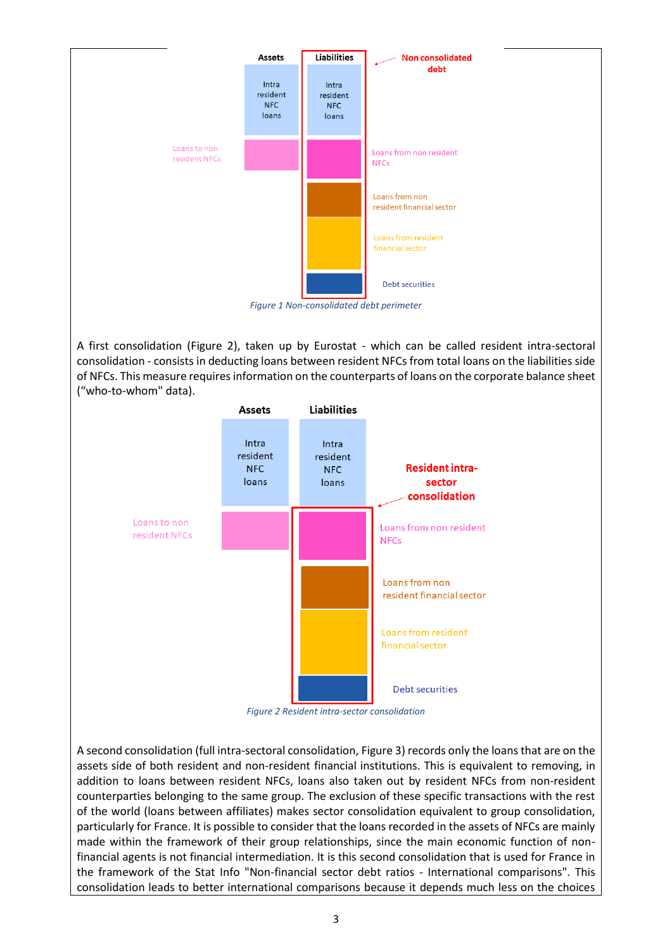

A first consolidation (Figure 2), taken up by Eurostat - which can be called resident intra-sectoral consolidation - consists in deducting loans between resident NFCs from total loans on the liabilities side of NFCs. This measure requires information on the counterparts of loans on the corporate balance sheet ("who-to-whom" data).



A second consolidation (full intra-sectoral consolidation, Figure 3) records only the loans that are on the assets side of both resident and non-resident financial institutions. This is equivalent to removing, in addition to loans between resident NFCs, loans also taken out by resident NFCs from non-resident counterparties belonging to the same group. The exclusion of these specific transactions with the rest of the world (loans between affiliates) makes sector consolidation equivalent to group consolidation, particularly for France. It is possible to consider that the loans recorded in the assets of NFCs are mainly made within the framework of their group relationships, since the main economic function of nonfinancial agents is not financial intermediation. It is this second consolidation that is used for France in the framework of the Stat Info "Non-financial sector debt ratios - International comparisons". This consolidation leads to better international comparisons because it depends much less on the choices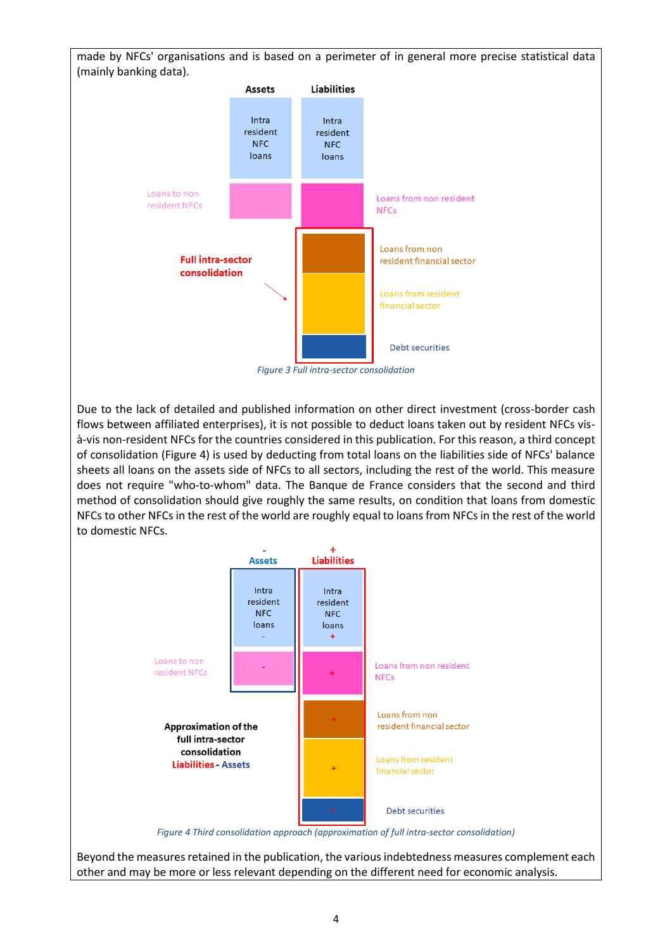made by NFCs' organisations and is based on a perimeter of in general more precise statistical data (mainly banking data).



Due to the lack of detailed and published information on other direct investment (cross-border cash flows between affiliated enterprises), it is not possible to deduct loans taken out by resident NFCs visà-vis non-resident NFCs for the countries considered in this publication. For this reason, a third concept of consolidation (Figure 4) is used by deducting from total loans on the liabilities side of NFCs' balance sheets all loans on the assets side of NFCs to all sectors, including the rest of the world. This measure does not require "who-to-whom" data. The Banque de France considers that the second and third method of consolidation should give roughly the same results, on condition that loans from domestic NFCs to other NFCs in the rest of the world are roughly equal to loans from NFCs in the rest of the world to domestic NFCs.



Beyond the measures retained in the publication, the various indebtedness measures complement each other and may be more or less relevant depending on the different need for economic analysis.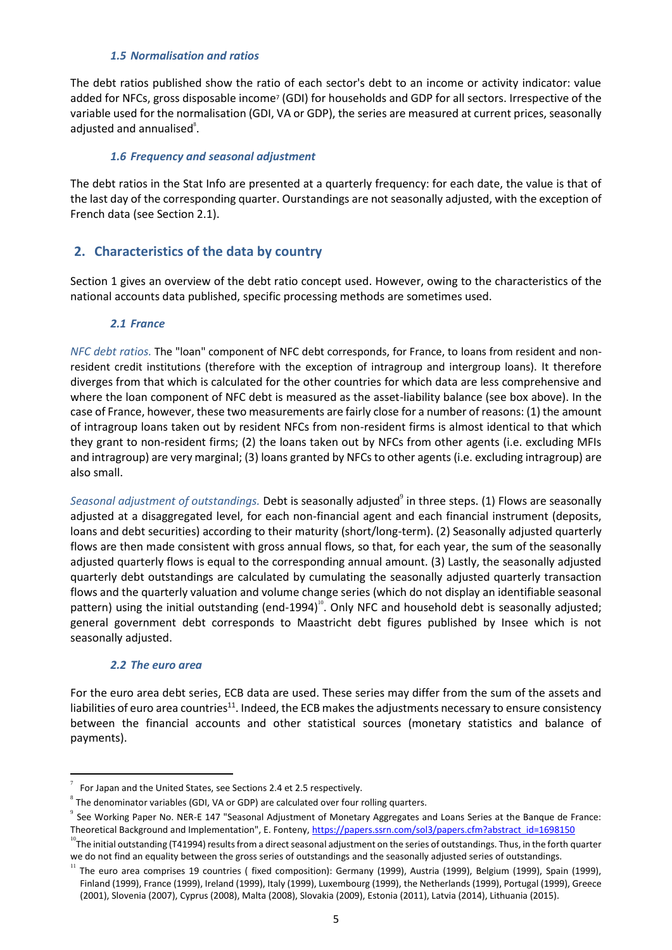#### *1.5 Normalisation and ratios*

The debt ratios published show the ratio of each sector's debt to an income or activity indicator: value added for NFCs, gross disposable income<sup>7</sup> (GDI) for households and GDP for all sectors. Irrespective of the variable used for the normalisation (GDI, VA or GDP), the series are measured at current prices, seasonally adjusted and annualised $^s$ .

#### *1.6 Frequency and seasonal adjustment*

The debt ratios in the Stat Info are presented at a quarterly frequency: for each date, the value is that of the last day of the corresponding quarter. Ourstandings are not seasonally adjusted, with the exception of French data (see Section 2.1).

#### **2. Characteristics of the data by country**

Section 1 gives an overview of the debt ratio concept used. However, owing to the characteristics of the national accounts data published, specific processing methods are sometimes used.

#### *2.1 France*

*NFC debt ratios.* The "loan" component of NFC debt corresponds, for France, to loans from resident and nonresident credit institutions (therefore with the exception of intragroup and intergroup loans). It therefore diverges from that which is calculated for the other countries for which data are less comprehensive and where the loan component of NFC debt is measured as the asset-liability balance (see box above). In the case of France, however, these two measurements are fairly close for a number of reasons: (1) the amount of intragroup loans taken out by resident NFCs from non-resident firms is almost identical to that which they grant to non-resident firms; (2) the loans taken out by NFCs from other agents (i.e. excluding MFIs and intragroup) are very marginal; (3) loans granted by NFCs to other agents (i.e. excluding intragroup) are also small.

Seasonal adjustment of outstandings. Debt is seasonally adjusted<sup>9</sup> in three steps. (1) Flows are seasonally adjusted at a disaggregated level, for each non-financial agent and each financial instrument (deposits, loans and debt securities) according to their maturity (short/long-term). (2) Seasonally adjusted quarterly flows are then made consistent with gross annual flows, so that, for each year, the sum of the seasonally adjusted quarterly flows is equal to the corresponding annual amount. (3) Lastly, the seasonally adjusted quarterly debt outstandings are calculated by cumulating the seasonally adjusted quarterly transaction flows and the quarterly valuation and volume change series (which do not display an identifiable seasonal pattern) using the initial outstanding (end-1994)<sup>10</sup>. Only NFC and household debt is seasonally adjusted; general government debt corresponds to Maastricht debt figures published by Insee which is not seasonally adjusted.

#### *2.2 The euro area*

l

For the euro area debt series, ECB data are used. These series may differ from the sum of the assets and liabilities of euro area countries<sup>11</sup>. Indeed, the ECB makes the adjustments necessary to ensure consistency between the financial accounts and other statistical sources (monetary statistics and balance of payments).

<sup>7</sup> For Japan and the United States, see Sections 2.4 et 2.5 respectively.

 $^8$  The denominator variables (GDI, VA or GDP) are calculated over four rolling quarters.

<sup>9</sup> See Working Paper No. NER-E 147 "Seasonal Adjustment of Monetary Aggregates and Loans Series at the Banque de France: Theoretical Background and Implementation", E. Fonteny[, https://papers.ssrn.com/sol3/papers.cfm?abstract\\_id=1698150](https://www.banque-france.fr/uploads/tx_bdfdocumentstravail/ner147.pdf)

 $^{10}$ The initial outstanding (T41994) results from a direct seasonal adjustment on the series of outstandings. Thus, in the forth quarter we do not find an equality between the gross series of outstandings and the seasonally adjusted series of outstandings.

 $11$  The euro area comprises 19 countries ( fixed composition): Germany (1999), Austria (1999), Belgium (1999), Spain (1999), Finland (1999), France (1999), Ireland (1999), Italy (1999), Luxembourg (1999), the Netherlands (1999), Portugal (1999), Greece (2001), Slovenia (2007), Cyprus (2008), Malta (2008), Slovakia (2009), Estonia (2011), Latvia (2014), Lithuania (2015).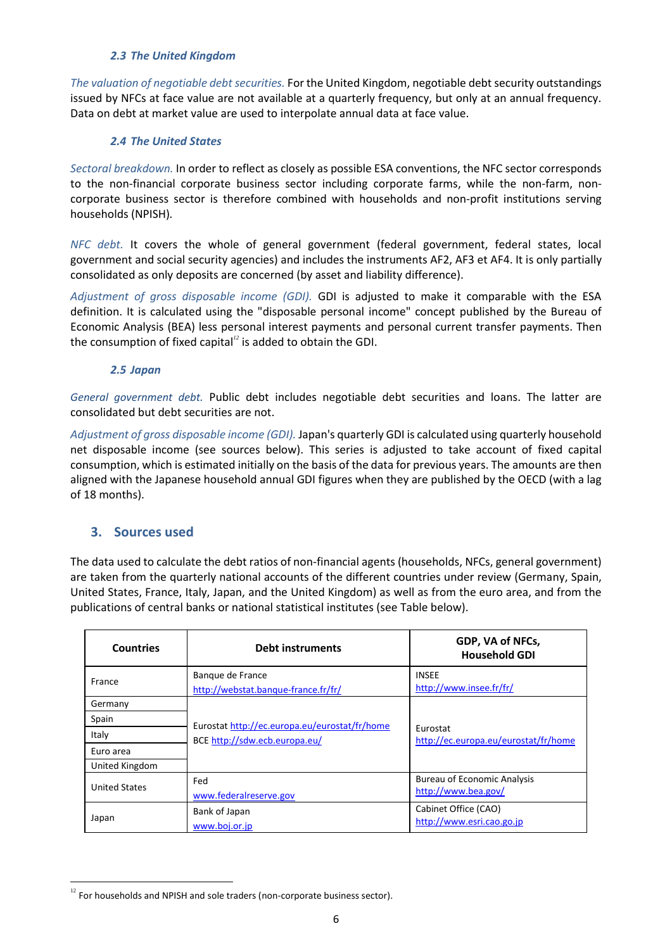#### *2.3 The United Kingdom*

*The valuation of negotiable debt securities.* For the United Kingdom, negotiable debt security outstandings issued by NFCs at face value are not available at a quarterly frequency, but only at an annual frequency. Data on debt at market value are used to interpolate annual data at face value.

#### *2.4 The United States*

*Sectoral breakdown.* In order to reflect as closely as possible ESA conventions, the NFC sector corresponds to the non-financial corporate business sector including corporate farms, while the non-farm, noncorporate business sector is therefore combined with households and non-profit institutions serving households (NPISH)*.*

*NFC debt.* It covers the whole of general government (federal government, federal states, local government and social security agencies) and includes the instruments AF2, AF3 et AF4. It is only partially consolidated as only deposits are concerned (by asset and liability difference).

*Adjustment of gross disposable income (GDI).* GDI is adjusted to make it comparable with the ESA definition. It is calculated using the "disposable personal income" concept published by the Bureau of Economic Analysis (BEA) less personal interest payments and personal current transfer payments. Then the consumption of fixed capital*<sup>12</sup>* is added to obtain the GDI.

#### *2.5 Japan*

*General government debt.* Public debt includes negotiable debt securities and loans. The latter are consolidated but debt securities are not.

*Adjustment of gross disposable income (GDI).* Japan's quarterly GDI is calculated using quarterly household net disposable income (see sources below). This series is adjusted to take account of fixed capital consumption, which is estimated initially on the basis of the data for previous years. The amounts are then aligned with the Japanese household annual GDI figures when they are published by the OECD (with a lag of 18 months).

### **3. Sources used**

l

The data used to calculate the debt ratios of non-financial agents (households, NFCs, general government) are taken from the quarterly national accounts of the different countries under review (Germany, Spain, United States, France, Italy, Japan, and the United Kingdom) as well as from the euro area, and from the publications of central banks or national statistical institutes (see Table below).

| <b>Countries</b>     | <b>Debt instruments</b>                                                        | GDP, VA of NFCs,<br><b>Household GDI</b>         |
|----------------------|--------------------------------------------------------------------------------|--------------------------------------------------|
| France               | Banque de France<br>http://webstat.banque-france.fr/fr/                        | <b>INSEE</b><br>http://www.insee.fr/fr/          |
| Germany              | Eurostat http://ec.europa.eu/eurostat/fr/home<br>BCE http://sdw.ecb.europa.eu/ | Eurostat<br>http://ec.europa.eu/eurostat/fr/home |
| Spain                |                                                                                |                                                  |
| Italy                |                                                                                |                                                  |
| Euro area            |                                                                                |                                                  |
| United Kingdom       |                                                                                |                                                  |
| <b>United States</b> | Fed                                                                            | <b>Bureau of Economic Analysis</b>               |
|                      | www.federalreserve.gov                                                         | http://www.bea.gov/                              |
| Japan                | Bank of Japan                                                                  | Cabinet Office (CAO)                             |
|                      | www.boj.or.jp                                                                  | http://www.esri.cao.go.jp                        |

 $12$  For households and NPISH and sole traders (non-corporate business sector).